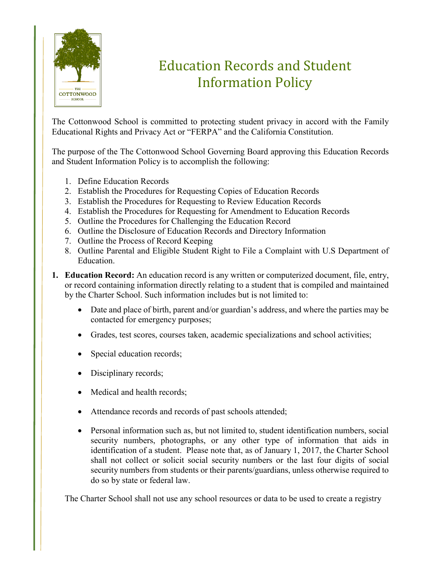

## Education Records and Student Information Policy

The Cottonwood School is committed to protecting student privacy in accord with the Family Educational Rights and Privacy Act or "FERPA" and the California Constitution.

The purpose of the The Cottonwood School Governing Board approving this Education Records and Student Information Policy is to accomplish the following:

- 1. Define Education Records
- 2. Establish the Procedures for Requesting Copies of Education Records
- 3. Establish the Procedures for Requesting to Review Education Records
- 4. Establish the Procedures for Requesting for Amendment to Education Records
- 5. Outline the Procedures for Challenging the Education Record
- 6. Outline the Disclosure of Education Records and Directory Information
- 7. Outline the Process of Record Keeping
- 8. Outline Parental and Eligible Student Right to File a Complaint with U.S Department of Education.
- **1. Education Record:** An education record is any written or computerized document, file, entry, or record containing information directly relating to a student that is compiled and maintained by the Charter School. Such information includes but is not limited to:
	- Date and place of birth, parent and/or guardian's address, and where the parties may be contacted for emergency purposes;
	- Grades, test scores, courses taken, academic specializations and school activities;
	- Special education records;
	- Disciplinary records;
	- Medical and health records;
	- Attendance records and records of past schools attended;
	- Personal information such as, but not limited to, student identification numbers, social security numbers, photographs, or any other type of information that aids in identification of a student. Please note that, as of January 1, 2017, the Charter School shall not collect or solicit social security numbers or the last four digits of social security numbers from students or their parents/guardians, unless otherwise required to do so by state or federal law.

The Charter School shall not use any school resources or data to be used to create a registry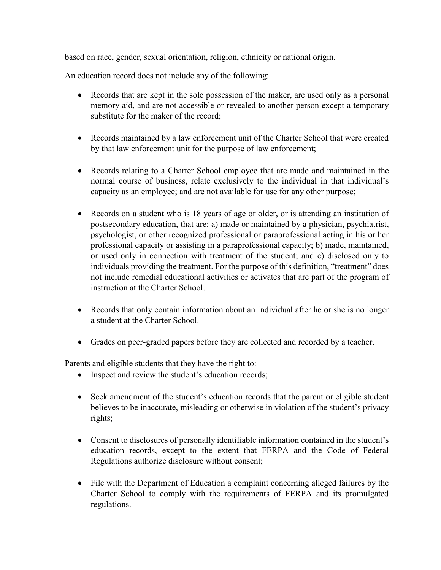based on race, gender, sexual orientation, religion, ethnicity or national origin.

An education record does not include any of the following:

- Records that are kept in the sole possession of the maker, are used only as a personal memory aid, and are not accessible or revealed to another person except a temporary substitute for the maker of the record;
- Records maintained by a law enforcement unit of the Charter School that were created by that law enforcement unit for the purpose of law enforcement;
- Records relating to a Charter School employee that are made and maintained in the normal course of business, relate exclusively to the individual in that individual's capacity as an employee; and are not available for use for any other purpose;
- Records on a student who is 18 years of age or older, or is attending an institution of postsecondary education, that are: a) made or maintained by a physician, psychiatrist, psychologist, or other recognized professional or paraprofessional acting in his or her professional capacity or assisting in a paraprofessional capacity; b) made, maintained, or used only in connection with treatment of the student; and c) disclosed only to individuals providing the treatment. For the purpose of this definition, "treatment" does not include remedial educational activities or activates that are part of the program of instruction at the Charter School.
- Records that only contain information about an individual after he or she is no longer a student at the Charter School.
- Grades on peer-graded papers before they are collected and recorded by a teacher.

Parents and eligible students that they have the right to:

- Inspect and review the student's education records;
- Seek amendment of the student's education records that the parent or eligible student believes to be inaccurate, misleading or otherwise in violation of the student's privacy rights;
- Consent to disclosures of personally identifiable information contained in the student's education records, except to the extent that FERPA and the Code of Federal Regulations authorize disclosure without consent;
- File with the Department of Education a complaint concerning alleged failures by the Charter School to comply with the requirements of FERPA and its promulgated regulations.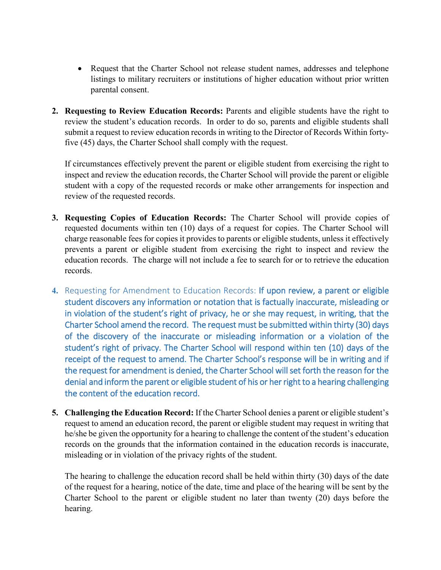- Request that the Charter School not release student names, addresses and telephone listings to military recruiters or institutions of higher education without prior written parental consent.
- **2. Requesting to Review Education Records:** Parents and eligible students have the right to review the student's education records. In order to do so, parents and eligible students shall submit a request to review education records in writing to the Director of Records Within fortyfive (45) days, the Charter School shall comply with the request.

If circumstances effectively prevent the parent or eligible student from exercising the right to inspect and review the education records, the Charter School will provide the parent or eligible student with a copy of the requested records or make other arrangements for inspection and review of the requested records.

- **3. Requesting Copies of Education Records:** The Charter School will provide copies of requested documents within ten (10) days of a request for copies. The Charter School will charge reasonable fees for copies it provides to parents or eligible students, unless it effectively prevents a parent or eligible student from exercising the right to inspect and review the education records. The charge will not include a fee to search for or to retrieve the education records.
- **4.** Requesting for Amendment to Education Records: If upon review, a parent or eligible student discovers any information or notation that is factually inaccurate, misleading or in violation of the student's right of privacy, he or she may request, in writing, that the Charter School amend the record. The request must be submitted within thirty (30) days of the discovery of the inaccurate or misleading information or a violation of the student's right of privacy. The Charter School will respond within ten (10) days of the receipt of the request to amend. The Charter School's response will be in writing and if the request for amendment is denied, the Charter School will set forth the reason for the denial and inform the parent or eligible student of his or her right to a hearing challenging the content of the education record.
- **5. Challenging the Education Record:** If the Charter School denies a parent or eligible student's request to amend an education record, the parent or eligible student may request in writing that he/she be given the opportunity for a hearing to challenge the content of the student's education records on the grounds that the information contained in the education records is inaccurate, misleading or in violation of the privacy rights of the student.

The hearing to challenge the education record shall be held within thirty (30) days of the date of the request for a hearing, notice of the date, time and place of the hearing will be sent by the Charter School to the parent or eligible student no later than twenty (20) days before the hearing.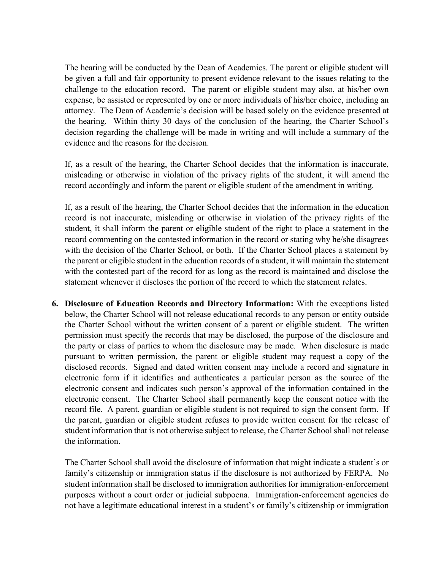The hearing will be conducted by the Dean of Academics. The parent or eligible student will be given a full and fair opportunity to present evidence relevant to the issues relating to the challenge to the education record. The parent or eligible student may also, at his/her own expense, be assisted or represented by one or more individuals of his/her choice, including an attorney. The Dean of Academic's decision will be based solely on the evidence presented at the hearing. Within thirty 30 days of the conclusion of the hearing, the Charter School's decision regarding the challenge will be made in writing and will include a summary of the evidence and the reasons for the decision.

If, as a result of the hearing, the Charter School decides that the information is inaccurate, misleading or otherwise in violation of the privacy rights of the student, it will amend the record accordingly and inform the parent or eligible student of the amendment in writing.

If, as a result of the hearing, the Charter School decides that the information in the education record is not inaccurate, misleading or otherwise in violation of the privacy rights of the student, it shall inform the parent or eligible student of the right to place a statement in the record commenting on the contested information in the record or stating why he/she disagrees with the decision of the Charter School, or both. If the Charter School places a statement by the parent or eligible student in the education records of a student, it will maintain the statement with the contested part of the record for as long as the record is maintained and disclose the statement whenever it discloses the portion of the record to which the statement relates.

**6. Disclosure of Education Records and Directory Information:** With the exceptions listed below, the Charter School will not release educational records to any person or entity outside the Charter School without the written consent of a parent or eligible student. The written permission must specify the records that may be disclosed, the purpose of the disclosure and the party or class of parties to whom the disclosure may be made. When disclosure is made pursuant to written permission, the parent or eligible student may request a copy of the disclosed records. Signed and dated written consent may include a record and signature in electronic form if it identifies and authenticates a particular person as the source of the electronic consent and indicates such person's approval of the information contained in the electronic consent. The Charter School shall permanently keep the consent notice with the record file. A parent, guardian or eligible student is not required to sign the consent form. If the parent, guardian or eligible student refuses to provide written consent for the release of student information that is not otherwise subject to release, the Charter School shall not release the information.

The Charter School shall avoid the disclosure of information that might indicate a student's or family's citizenship or immigration status if the disclosure is not authorized by FERPA. No student information shall be disclosed to immigration authorities for immigration-enforcement purposes without a court order or judicial subpoena. Immigration-enforcement agencies do not have a legitimate educational interest in a student's or family's citizenship or immigration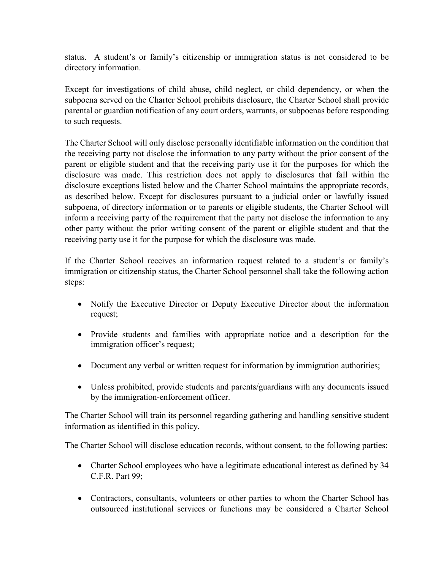status. A student's or family's citizenship or immigration status is not considered to be directory information.

Except for investigations of child abuse, child neglect, or child dependency, or when the subpoena served on the Charter School prohibits disclosure, the Charter School shall provide parental or guardian notification of any court orders, warrants, or subpoenas before responding to such requests.

The Charter School will only disclose personally identifiable information on the condition that the receiving party not disclose the information to any party without the prior consent of the parent or eligible student and that the receiving party use it for the purposes for which the disclosure was made. This restriction does not apply to disclosures that fall within the disclosure exceptions listed below and the Charter School maintains the appropriate records, as described below. Except for disclosures pursuant to a judicial order or lawfully issued subpoena, of directory information or to parents or eligible students, the Charter School will inform a receiving party of the requirement that the party not disclose the information to any other party without the prior writing consent of the parent or eligible student and that the receiving party use it for the purpose for which the disclosure was made.

If the Charter School receives an information request related to a student's or family's immigration or citizenship status, the Charter School personnel shall take the following action steps:

- Notify the Executive Director or Deputy Executive Director about the information request;
- Provide students and families with appropriate notice and a description for the immigration officer's request;
- Document any verbal or written request for information by immigration authorities;
- Unless prohibited, provide students and parents/guardians with any documents issued by the immigration-enforcement officer.

The Charter School will train its personnel regarding gathering and handling sensitive student information as identified in this policy.

The Charter School will disclose education records, without consent, to the following parties:

- Charter School employees who have a legitimate educational interest as defined by 34 C.F.R. Part 99;
- Contractors, consultants, volunteers or other parties to whom the Charter School has outsourced institutional services or functions may be considered a Charter School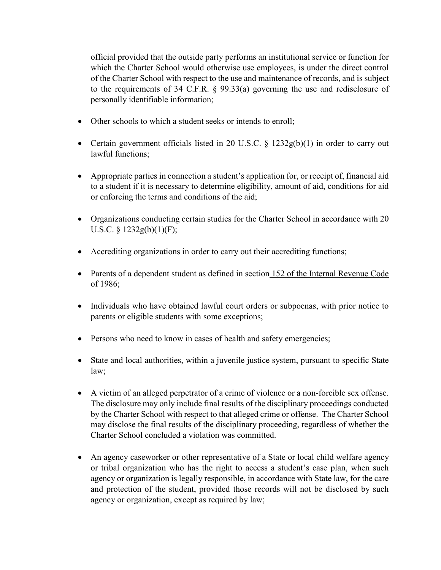official provided that the outside party performs an institutional service or function for which the Charter School would otherwise use employees, is under the direct control of the Charter School with respect to the use and maintenance of records, and is subject to the requirements of 34 C.F.R. § 99.33(a) governing the use and redisclosure of personally identifiable information;

- Other schools to which a student seeks or intends to enroll;
- Certain government officials listed in 20 U.S.C.  $\S$  1232g(b)(1) in order to carry out lawful functions;
- Appropriate parties in connection a student's application for, or receipt of, financial aid to a student if it is necessary to determine eligibility, amount of aid, conditions for aid or enforcing the terms and conditions of the aid;
- Organizations conducting certain studies for the Charter School in accordance with 20 U.S.C. § 1232g(b)(1)(F);
- Accrediting organizations in order to carry out their accrediting functions;
- Parents of a dependent student as defined in section [152 of the Internal Revenue Code](http://www.lexis.com/research/buttonTFLink?_m=6abc13686deebc8da5c10abc89f02b9d&_xfercite=%3ccite%20cc%3d%22USA%22%3e%3c%21%5bCDATA%5b34%20CFR%2099.31%5d%5d%3e%3c%2fcite%3e&_butType=4&_butStat=0&_butNum=3&_butInline=1&_butinfo=26%20USC%20152&_fmtstr=FULL&docnum=1&_startdoc=1&wchp=dGLbVlb-zSkAl&_md5=e6f62af1ce041b02d5bf8cf8786c505b) of 1986;
- Individuals who have obtained lawful court orders or subpoenas, with prior notice to parents or eligible students with some exceptions;
- Persons who need to know in cases of health and safety emergencies;
- State and local authorities, within a juvenile justice system, pursuant to specific State law;
- A victim of an alleged perpetrator of a crime of violence or a non-forcible sex offense. The disclosure may only include final results of the disciplinary proceedings conducted by the Charter School with respect to that alleged crime or offense. The Charter School may disclose the final results of the disciplinary proceeding, regardless of whether the Charter School concluded a violation was committed.
- An agency caseworker or other representative of a State or local child welfare agency or tribal organization who has the right to access a student's case plan, when such agency or organization is legally responsible, in accordance with State law, for the care and protection of the student, provided those records will not be disclosed by such agency or organization, except as required by law;